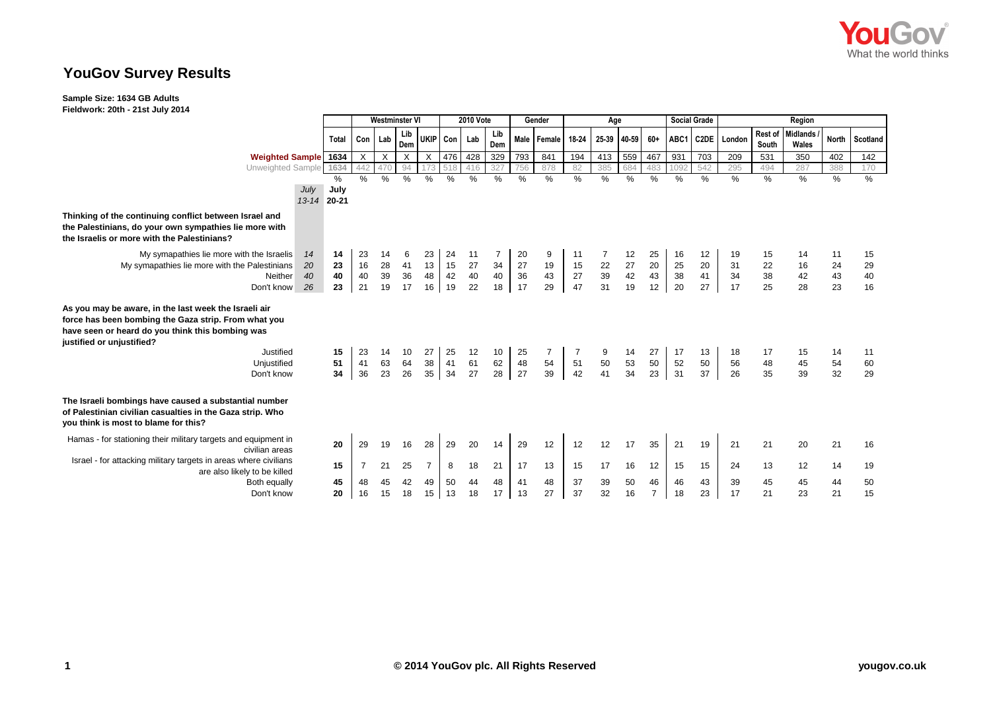

## **YouGov Survey Results**

**Sample Size: 1634 GB Adults**

**Fieldwork: 20th - 21st July 2014**

|                                                                                                                                                                                                             |                                             | <b>Westminster VI</b> |                           |                           |                |                 | 2010 Vote                               |               |               | Gender         |                 | Age             |                                               |                      |               | <b>Social Grade</b> | Region   |                  |                          |              |          |
|-------------------------------------------------------------------------------------------------------------------------------------------------------------------------------------------------------------|---------------------------------------------|-----------------------|---------------------------|---------------------------|----------------|-----------------|-----------------------------------------|---------------|---------------|----------------|-----------------|-----------------|-----------------------------------------------|----------------------|---------------|---------------------|----------|------------------|--------------------------|--------------|----------|
|                                                                                                                                                                                                             | Total                                       |                       | Con Lab                   | Lib<br>Dem                |                | UKIP Con Lab    |                                         | Lib<br>Dem    |               | Male Female    | 18-24           | 25-39           | 40-59                                         | 60+                  | ABC1          | C <sub>2</sub> DE   | London   | Rest of<br>South | <b>Midlands</b><br>Wales | <b>North</b> | Scotland |
| Weighted Sample 1634                                                                                                                                                                                        |                                             | X                     | $\boldsymbol{\mathsf{X}}$ | $\boldsymbol{\mathsf{X}}$ | $\times$       | 476             | 428                                     | 329           | 793           | 841            | 194             | 413             | 559                                           | 467                  | 931           | 703                 | 209      | 531              | 350                      | 402          | 142      |
| Unweighted Sample 1634                                                                                                                                                                                      |                                             | 442                   | 470                       | 94                        |                | 518             | 416                                     | 32            | 756           | 878            | 82              | 385             | 684                                           | 483                  | 1092          | 542                 | 295      | 494              | 287                      | 388          | 170      |
|                                                                                                                                                                                                             | %<br>July<br>July<br>$13 - 14$<br>$20 - 21$ | $\%$                  | %                         | %                         | $\%$           | %               | %                                       | $\frac{0}{0}$ | $\frac{0}{0}$ | %              | %               | $\frac{0}{0}$   | %                                             | %                    | $\frac{0}{0}$ | %                   | %        | %                | %                        | %            | %        |
| Thinking of the continuing conflict between Israel and<br>the Palestinians, do your own sympathies lie more with<br>the Israelis or more with the Palestinians?                                             |                                             |                       |                           |                           |                |                 |                                         |               |               |                |                 |                 |                                               |                      |               |                     |          |                  |                          |              |          |
| My symapathies lie more with the Israelis                                                                                                                                                                   | 14<br>14                                    | 23                    | 14                        | 6                         | 23             | 24              |                                         |               | 20            | 9              | 11              |                 | 12                                            | 25                   | 16            | 12                  |          | 15               |                          | 11           | 15       |
| My symapathies lie more with the Palestinians                                                                                                                                                               | 23<br>20                                    | $\frac{16}{40}$       | $\frac{28}{39}$           | 41                        | 13             | $\frac{15}{42}$ | $\begin{array}{c} 27 \\ 40 \end{array}$ | $34\,$        | 27            | 19             | $\frac{15}{27}$ | $\frac{22}{39}$ | $\begin{array}{c} 27 \\ 42 \\ 19 \end{array}$ | 20                   | 25<br>38      | 20                  | 31       | 22               | 16                       | 24           | 29       |
| Neither                                                                                                                                                                                                     | 40<br>40                                    |                       |                           | 36                        | 48             |                 |                                         | 40            | 36            | 43             |                 |                 |                                               | 43                   |               | 41                  | 34       | 38               | 42                       | 43           | 40       |
| Don't know                                                                                                                                                                                                  | 23<br>26                                    | 21                    | 19                        | 17                        | 16             | 19              | 22                                      | 18            | 17            | 29             | 47              | 31              |                                               | 12                   | 20            | 27                  | 17       | 25               | 28                       | 23           | 16       |
| As you may be aware, in the last week the Israeli air<br>force has been bombing the Gaza strip. From what you<br>have seen or heard do you think this bombing was<br>justified or unjustified?<br>Justified | 15                                          | 23                    | 14                        | 10                        | 27             |                 | $12$                                    | 10            | 25            | $\overline{7}$ |                 | 9               |                                               | 27                   | 17            | 13                  | 18       | 17               | 15                       | 14           | 11       |
| Unjustified                                                                                                                                                                                                 | 51                                          | 41                    | 63                        | 64                        | 38             | $\frac{25}{41}$ | 61                                      | 62            | 48            | 54             | 51              | 50<br>41        | 53                                            | 50                   | 52            | 50                  | 56       | 48               | 45                       | 54           | 60       |
| Don't know                                                                                                                                                                                                  | 34                                          | 36                    | 23                        | 26                        | 35             | 34              | 27                                      | 28            | 27            | 39             | 42              |                 | 34                                            | 23                   | 31            | 37                  | 26       | 35               | 39                       | 32           | 29       |
| The Israeli bombings have caused a substantial number<br>of Palestinian civilian casualties in the Gaza strip. Who<br>you think is most to blame for this?                                                  |                                             |                       |                           |                           |                |                 |                                         |               |               |                |                 |                 |                                               |                      |               |                     |          |                  |                          |              |          |
| Hamas - for stationing their military targets and equipment in<br>civilian areas                                                                                                                            | 20                                          | 29                    | 19                        | 16                        | 28             | 29              | 20                                      | 14            | 29            | 12             | 12              | 12              | 17                                            | 35                   | 21            | 19                  | 21       | 21               | 20                       | 21           | 16       |
| Israel - for attacking military targets in areas where civilians<br>are also likely to be killed                                                                                                            | 15                                          | 7                     | 21                        | 25                        | $\overline{7}$ | 8               | 18                                      | 21            | 17            | 13             | 15              | 17              | 16                                            | 12                   | 15            | 15                  | 24       | 13               | 12                       | 14           | 19       |
| Both equally<br>Don't know                                                                                                                                                                                  | 45<br>20                                    | 48<br>16              | 45<br>15                  | 42<br>18                  | 49<br>15       | 50<br>13        | 44<br>18                                | 48<br>17      | 41<br>13      | 48<br>27       | 37<br>37        | 39<br>32        | 50<br>16                                      | 46<br>$\overline{7}$ | 46<br>18      | 43<br>23            | 39<br>17 | 45<br>21         | 45<br>23                 | 44<br>21     | 50<br>15 |